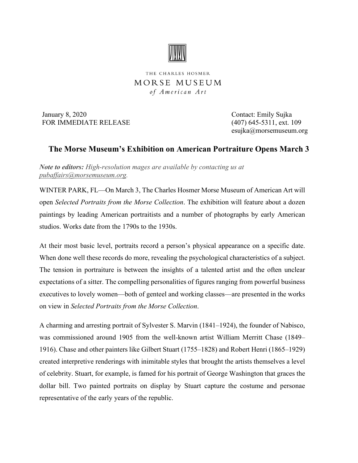

THE CHARLES HOSMER MORSE MUSEUM of American Art

January 8, 2020 Contact: Emily Sujka FOR IMMEDIATE RELEASE (407) 645-5311, ext. 109

esujka@morsemuseum.org

## **The Morse Museum's Exhibition on American Portraiture Opens March 3**

*Note to editors: High-resolution mages are available by contacting us at [pubaffairs@morsemuseum.org.](mailto:pubaffairs@morsemuseum.org%20%5C%20mailto:pubaffairs@morsemuseum.org)*

WINTER PARK, FL—On March 3, The Charles Hosmer Morse Museum of American Art will open *Selected Portraits from the Morse Collection*. The exhibition will feature about a dozen paintings by leading American portraitists and a number of photographs by early American studios. Works date from the 1790s to the 1930s.

At their most basic level, portraits record a person's physical appearance on a specific date. When done well these records do more, revealing the psychological characteristics of a subject. The tension in portraiture is between the insights of a talented artist and the often unclear expectations of a sitter. The compelling personalities of figures ranging from powerful business executives to lovely women—both of genteel and working classes—are presented in the works on view in *Selected Portraits from the Morse Collection*.

A charming and arresting portrait of Sylvester S. Marvin (1841–1924), the founder of Nabisco, was commissioned around 1905 from the well-known artist William Merritt Chase (1849– 1916). Chase and other painters like Gilbert Stuart (1755–1828) and Robert Henri (1865–1929) created interpretive renderings with inimitable styles that brought the artists themselves a level of celebrity. Stuart, for example, is famed for his portrait of George Washington that graces the dollar bill. Two painted portraits on display by Stuart capture the costume and personae representative of the early years of the republic.